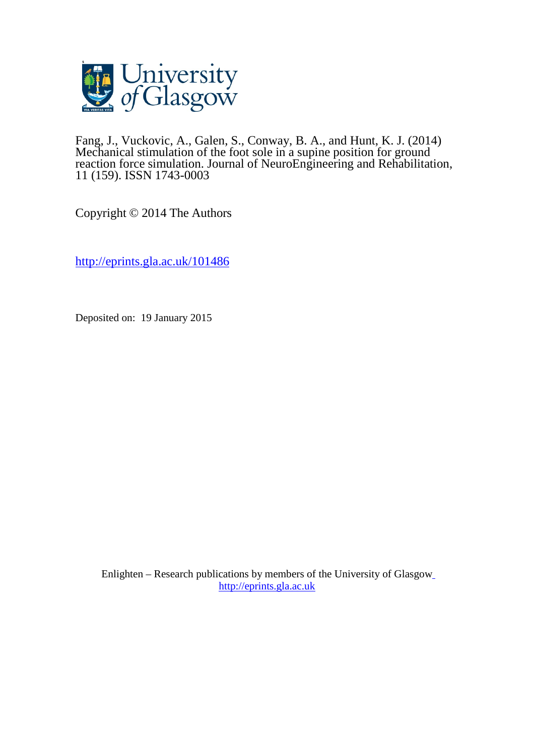

Fang, J., Vuckovic, A., Galen, S., Conway, B. A., and Hunt, K. J. (2014) Mechanical stimulation of the foot sole in a supine position for ground reaction force simulation. Journal of NeuroEngineering and Rehabilitation, 11 (159). ISSN 1743-0003

Copyright © 2014 The Authors

<http://eprints.gla.ac.uk/101486>

Deposited on: 19 January 2015

Enlighten – Research publications by members of the University of Glasgo[w](http://eprints.gla.ac.uk/) [http://eprints.gla.ac.uk](http://eprints.gla.ac.uk/)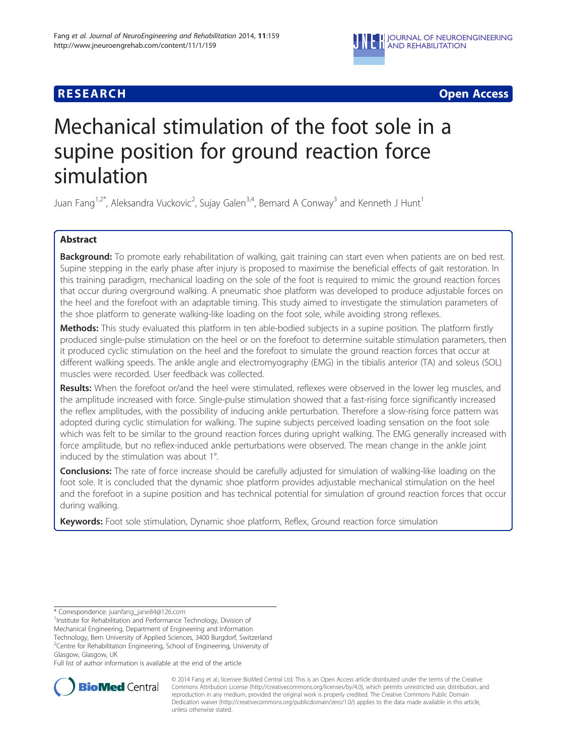

**RESEARCH CHEAR CHEAR CHEAR CHEAR CHEAR CHEAR CHEAR CHEAR CHEAR CHEAR CHEAR CHEAR CHEAR CHEAR CHEAR CHEAR CHEAR** 

# Mechanical stimulation of the foot sole in a supine position for ground reaction force simulation

Juan Fang $^{1,2^*}$ , Aleksandra Vuckovic<sup>2</sup>, Sujay Galen $^{3,4}$ , Bernard A Conway $^3$  and Kenneth J Hunt $^1$ 

# Abstract

Background: To promote early rehabilitation of walking, gait training can start even when patients are on bed rest. Supine stepping in the early phase after injury is proposed to maximise the beneficial effects of gait restoration. In this training paradigm, mechanical loading on the sole of the foot is required to mimic the ground reaction forces that occur during overground walking. A pneumatic shoe platform was developed to produce adjustable forces on the heel and the forefoot with an adaptable timing. This study aimed to investigate the stimulation parameters of the shoe platform to generate walking-like loading on the foot sole, while avoiding strong reflexes.

Methods: This study evaluated this platform in ten able-bodied subjects in a supine position. The platform firstly produced single-pulse stimulation on the heel or on the forefoot to determine suitable stimulation parameters, then it produced cyclic stimulation on the heel and the forefoot to simulate the ground reaction forces that occur at different walking speeds. The ankle angle and electromyography (EMG) in the tibialis anterior (TA) and soleus (SOL) muscles were recorded. User feedback was collected.

Results: When the forefoot or/and the heel were stimulated, reflexes were observed in the lower leg muscles, and the amplitude increased with force. Single-pulse stimulation showed that a fast-rising force significantly increased the reflex amplitudes, with the possibility of inducing ankle perturbation. Therefore a slow-rising force pattern was adopted during cyclic stimulation for walking. The supine subjects perceived loading sensation on the foot sole which was felt to be similar to the ground reaction forces during upright walking. The EMG generally increased with force amplitude, but no reflex-induced ankle perturbations were observed. The mean change in the ankle joint induced by the stimulation was about 1°.

Conclusions: The rate of force increase should be carefully adjusted for simulation of walking-like loading on the foot sole. It is concluded that the dynamic shoe platform provides adjustable mechanical stimulation on the heel and the forefoot in a supine position and has technical potential for simulation of ground reaction forces that occur during walking.

Keywords: Foot sole stimulation, Dynamic shoe platform, Reflex, Ground reaction force simulation

\* Correspondence: [juanfang\\_jane84@126.com](mailto:juanfang_jane84@126.com) <sup>1</sup>

<sup>1</sup> Institute for Rehabilitation and Performance Technology, Division of

Mechanical Engineering, Department of Engineering and Information Technology, Bern University of Applied Sciences, 3400 Burgdorf, Switzerland

<sup>2</sup>Centre for Rehabilitation Engineering, School of Engineering, University of Glasgow, Glasgow, UK

Full list of author information is available at the end of the article



© 2014 Fang et al.; licensee BioMed Central Ltd. This is an Open Access article distributed under the terms of the Creative Commons Attribution License [\(http://creativecommons.org/licenses/by/4.0\)](http://creativecommons.org/licenses/by/4.0), which permits unrestricted use, distribution, and reproduction in any medium, provided the original work is properly credited. The Creative Commons Public Domain Dedication waiver [\(http://creativecommons.org/publicdomain/zero/1.0/](http://creativecommons.org/publicdomain/zero/1.0/)) applies to the data made available in this article, unless otherwise stated.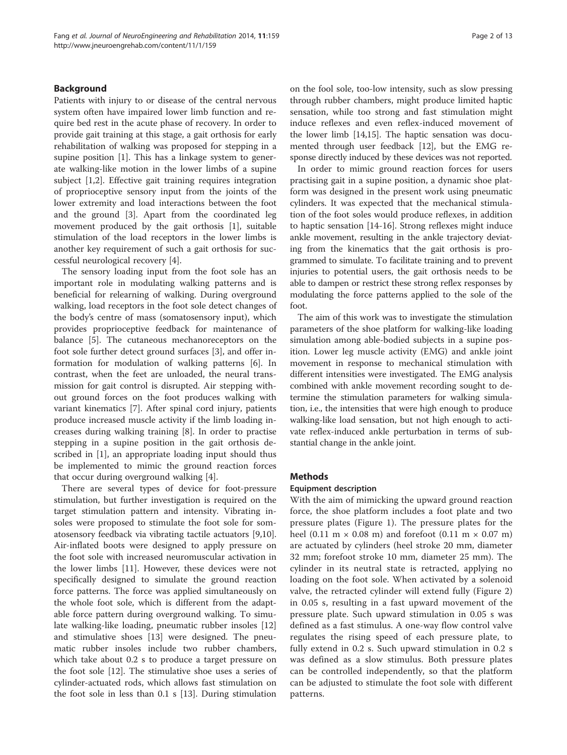# Background

Patients with injury to or disease of the central nervous system often have impaired lower limb function and require bed rest in the acute phase of recovery. In order to provide gait training at this stage, a gait orthosis for early rehabilitation of walking was proposed for stepping in a supine position [[1\]](#page-12-0). This has a linkage system to generate walking-like motion in the lower limbs of a supine subject [[1,2\]](#page-12-0). Effective gait training requires integration of proprioceptive sensory input from the joints of the lower extremity and load interactions between the foot and the ground [[3\]](#page-12-0). Apart from the coordinated leg movement produced by the gait orthosis [[1\]](#page-12-0), suitable stimulation of the load receptors in the lower limbs is another key requirement of such a gait orthosis for successful neurological recovery [[4\]](#page-13-0).

The sensory loading input from the foot sole has an important role in modulating walking patterns and is beneficial for relearning of walking. During overground walking, load receptors in the foot sole detect changes of the body's centre of mass (somatosensory input), which provides proprioceptive feedback for maintenance of balance [\[5](#page-13-0)]. The cutaneous mechanoreceptors on the foot sole further detect ground surfaces [[3\]](#page-12-0), and offer information for modulation of walking patterns [[6\]](#page-13-0). In contrast, when the feet are unloaded, the neural transmission for gait control is disrupted. Air stepping without ground forces on the foot produces walking with variant kinematics [\[7](#page-13-0)]. After spinal cord injury, patients produce increased muscle activity if the limb loading increases during walking training [\[8](#page-13-0)]. In order to practise stepping in a supine position in the gait orthosis described in [\[1](#page-12-0)], an appropriate loading input should thus be implemented to mimic the ground reaction forces that occur during overground walking [[4\]](#page-13-0).

There are several types of device for foot-pressure stimulation, but further investigation is required on the target stimulation pattern and intensity. Vibrating insoles were proposed to stimulate the foot sole for somatosensory feedback via vibrating tactile actuators [\[9,10](#page-13-0)]. Air-inflated boots were designed to apply pressure on the foot sole with increased neuromuscular activation in the lower limbs [\[11\]](#page-13-0). However, these devices were not specifically designed to simulate the ground reaction force patterns. The force was applied simultaneously on the whole foot sole, which is different from the adaptable force pattern during overground walking. To simulate walking-like loading, pneumatic rubber insoles [[12](#page-13-0)] and stimulative shoes [\[13](#page-13-0)] were designed. The pneumatic rubber insoles include two rubber chambers, which take about 0.2 s to produce a target pressure on the foot sole [[12](#page-13-0)]. The stimulative shoe uses a series of cylinder-actuated rods, which allows fast stimulation on the foot sole in less than 0.1 s [[13](#page-13-0)]. During stimulation on the fool sole, too-low intensity, such as slow pressing through rubber chambers, might produce limited haptic sensation, while too strong and fast stimulation might induce reflexes and even reflex-induced movement of the lower limb [\[14,15](#page-13-0)]. The haptic sensation was documented through user feedback [\[12\]](#page-13-0), but the EMG response directly induced by these devices was not reported.

In order to mimic ground reaction forces for users practising gait in a supine position, a dynamic shoe platform was designed in the present work using pneumatic cylinders. It was expected that the mechanical stimulation of the foot soles would produce reflexes, in addition to haptic sensation [[14](#page-13-0)-[16\]](#page-13-0). Strong reflexes might induce ankle movement, resulting in the ankle trajectory deviating from the kinematics that the gait orthosis is programmed to simulate. To facilitate training and to prevent injuries to potential users, the gait orthosis needs to be able to dampen or restrict these strong reflex responses by modulating the force patterns applied to the sole of the foot.

The aim of this work was to investigate the stimulation parameters of the shoe platform for walking-like loading simulation among able-bodied subjects in a supine position. Lower leg muscle activity (EMG) and ankle joint movement in response to mechanical stimulation with different intensities were investigated. The EMG analysis combined with ankle movement recording sought to determine the stimulation parameters for walking simulation, i.e., the intensities that were high enough to produce walking-like load sensation, but not high enough to activate reflex-induced ankle perturbation in terms of substantial change in the ankle joint.

# Methods

# Equipment description

With the aim of mimicking the upward ground reaction force, the shoe platform includes a foot plate and two pressure plates (Figure [1](#page-3-0)). The pressure plates for the heel (0.11 m  $\times$  0.08 m) and forefoot (0.11 m  $\times$  0.07 m) are actuated by cylinders (heel stroke 20 mm, diameter 32 mm; forefoot stroke 10 mm, diameter 25 mm). The cylinder in its neutral state is retracted, applying no loading on the foot sole. When activated by a solenoid valve, the retracted cylinder will extend fully (Figure [2](#page-3-0)) in 0.05 s, resulting in a fast upward movement of the pressure plate. Such upward stimulation in 0.05 s was defined as a fast stimulus. A one-way flow control valve regulates the rising speed of each pressure plate, to fully extend in 0.2 s. Such upward stimulation in 0.2 s was defined as a slow stimulus. Both pressure plates can be controlled independently, so that the platform can be adjusted to stimulate the foot sole with different patterns.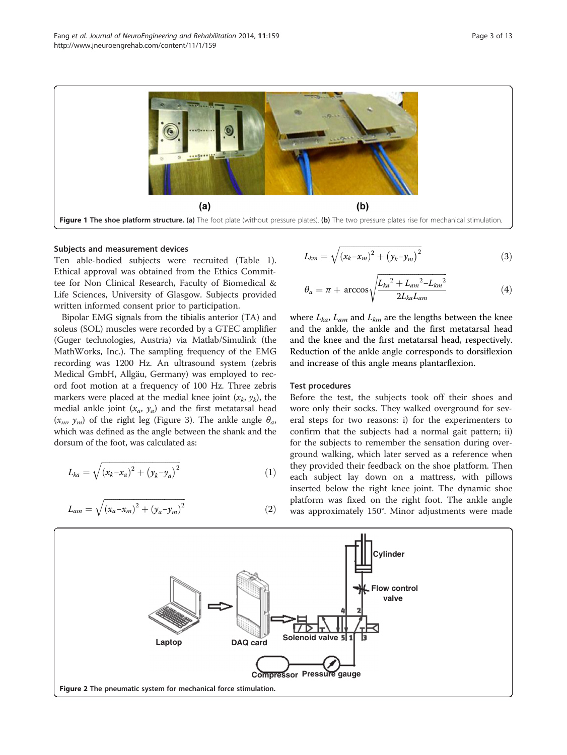<span id="page-3-0"></span>

#### Subjects and measurement devices

Ten able-bodied subjects were recruited (Table [1](#page-4-0)). Ethical approval was obtained from the Ethics Committee for Non Clinical Research, Faculty of Biomedical & Life Sciences, University of Glasgow. Subjects provided written informed consent prior to participation.

Bipolar EMG signals from the tibialis anterior (TA) and soleus (SOL) muscles were recorded by a GTEC amplifier (Guger technologies, Austria) via Matlab/Simulink (the MathWorks, Inc.). The sampling frequency of the EMG recording was 1200 Hz. An ultrasound system (zebris Medical GmbH, Allgäu, Germany) was employed to record foot motion at a frequency of 100 Hz. Three zebris markers were placed at the medial knee joint  $(x_k, y_k)$ , the medial ankle joint  $(x_a, y_a)$  and the first metatarsal head  $(x_m, y_m)$  of the right leg (Figure [3](#page-4-0)). The ankle angle  $\theta_a$ , which was defined as the angle between the shank and the dorsum of the foot, was calculated as:

$$
L_{ka} = \sqrt{(x_k - x_a)^2 + (y_k - y_a)^2}
$$
 (1)

$$
L_{am} = \sqrt{(x_a - x_m)^2 + (y_a - y_m)^2}
$$
 (2)

$$
L_{km} = \sqrt{(x_k - x_m)^2 + (y_k - y_m)^2}
$$
 (3)

$$
\theta_a = \pi + \arccos\sqrt{\frac{L_{ka}^2 + L_{am}^2 - L_{km}^2}{2L_{ka}L_{am}}}
$$
(4)

where  $L_{ka}$ ,  $L_{am}$  and  $L_{km}$  are the lengths between the knee and the ankle, the ankle and the first metatarsal head and the knee and the first metatarsal head, respectively. Reduction of the ankle angle corresponds to dorsiflexion and increase of this angle means plantarflexion.

#### Test procedures

Before the test, the subjects took off their shoes and wore only their socks. They walked overground for several steps for two reasons: i) for the experimenters to confirm that the subjects had a normal gait pattern; ii) for the subjects to remember the sensation during overground walking, which later served as a reference when they provided their feedback on the shoe platform. Then each subject lay down on a mattress, with pillows inserted below the right knee joint. The dynamic shoe platform was fixed on the right foot. The ankle angle was approximately 150°. Minor adjustments were made

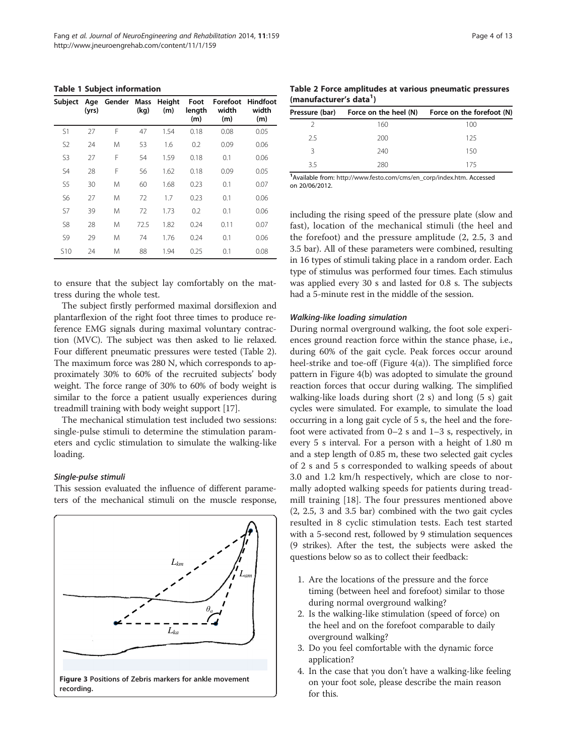<span id="page-4-0"></span>Table 1 Subject information

| Subject         | (yrs) | Age Gender Mass Height | (kq) | (m)  | Foot<br>length<br>(m) | width<br>(m) | Forefoot Hindfoot<br>width<br>(m) |
|-----------------|-------|------------------------|------|------|-----------------------|--------------|-----------------------------------|
| S1              | 27    | F                      | 47   | 1.54 | 0.18                  | 0.08         | 0.05                              |
| S <sub>2</sub>  | 24    | M                      | 53   | 1.6  | 0.2                   | 0.09         | 0.06                              |
| S3              | 27    | F                      | 54   | 1.59 | 0.18                  | 0.1          | 0.06                              |
| S4              | 28    | F                      | 56   | 1.62 | 0.18                  | 0.09         | 0.05                              |
| S <sub>5</sub>  | 30    | M                      | 60   | 1.68 | 0.23                  | 0.1          | 0.07                              |
| S6              | 27    | M                      | 72   | 1.7  | 0.23                  | 0.1          | 0.06                              |
| S7              | 39    | M                      | 72   | 1.73 | 0.2                   | 0.1          | 0.06                              |
| S8              | 28    | M                      | 72.5 | 1.82 | 0.24                  | 0.11         | 0.07                              |
| S <sub>9</sub>  | 29    | M                      | 74   | 1.76 | 0.24                  | 0.1          | 0.06                              |
| S <sub>10</sub> | 24    | M                      | 88   | 1.94 | 0.25                  | 0.1          | 0.08                              |

to ensure that the subject lay comfortably on the mattress during the whole test.

The subject firstly performed maximal dorsiflexion and plantarflexion of the right foot three times to produce reference EMG signals during maximal voluntary contraction (MVC). The subject was then asked to lie relaxed. Four different pneumatic pressures were tested (Table 2). The maximum force was 280 N, which corresponds to approximately 30% to 60% of the recruited subjects' body weight. The force range of 30% to 60% of body weight is similar to the force a patient usually experiences during treadmill training with body weight support [\[17\]](#page-13-0).

The mechanical stimulation test included two sessions: single-pulse stimuli to determine the stimulation parameters and cyclic stimulation to simulate the walking-like loading.

# Single-pulse stimuli

This session evaluated the influence of different parameters of the mechanical stimuli on the muscle response,



Table 2 Force amplitudes at various pneumatic pressures (manufacturer's data<sup>1</sup>)

|    | Pressure (bar) Force on the heel (N) | Force on the forefoot (N) |
|----|--------------------------------------|---------------------------|
|    | 160                                  | 100                       |
| 25 | 200                                  | 125                       |
| ₹  | 240                                  | 150                       |
| 35 | 280                                  | 175                       |
|    |                                      |                           |

1 Available from: [http://www.festo.com/cms/en\\_corp/index.htm.](http://www.festo.com/cms/en_corp/index.htm) Accessed on 20/06/2012.

including the rising speed of the pressure plate (slow and fast), location of the mechanical stimuli (the heel and the forefoot) and the pressure amplitude (2, 2.5, 3 and 3.5 bar). All of these parameters were combined, resulting in 16 types of stimuli taking place in a random order. Each type of stimulus was performed four times. Each stimulus was applied every 30 s and lasted for 0.8 s. The subjects had a 5-minute rest in the middle of the session.

# Walking-like loading simulation

During normal overground walking, the foot sole experiences ground reaction force within the stance phase, i.e., during 60% of the gait cycle. Peak forces occur around heel-strike and toe-off (Figure [4](#page-5-0)(a)). The simplified force pattern in Figure [4\(](#page-5-0)b) was adopted to simulate the ground reaction forces that occur during walking. The simplified walking-like loads during short (2 s) and long (5 s) gait cycles were simulated. For example, to simulate the load occurring in a long gait cycle of 5 s, the heel and the forefoot were activated from 0–2 s and 1–3 s, respectively, in every 5 s interval. For a person with a height of 1.80 m and a step length of 0.85 m, these two selected gait cycles of 2 s and 5 s corresponded to walking speeds of about 3.0 and 1.2 km/h respectively, which are close to normally adopted walking speeds for patients during treadmill training [[18\]](#page-13-0). The four pressures mentioned above (2, 2.5, 3 and 3.5 bar) combined with the two gait cycles resulted in 8 cyclic stimulation tests. Each test started with a 5-second rest, followed by 9 stimulation sequences (9 strikes). After the test, the subjects were asked the questions below so as to collect their feedback:

- 1. Are the locations of the pressure and the force timing (between heel and forefoot) similar to those during normal overground walking?
- 2. Is the walking-like stimulation (speed of force) on the heel and on the forefoot comparable to daily overground walking?
- 3. Do you feel comfortable with the dynamic force application?
- 4. In the case that you don't have a walking-like feeling on your foot sole, please describe the main reason for this.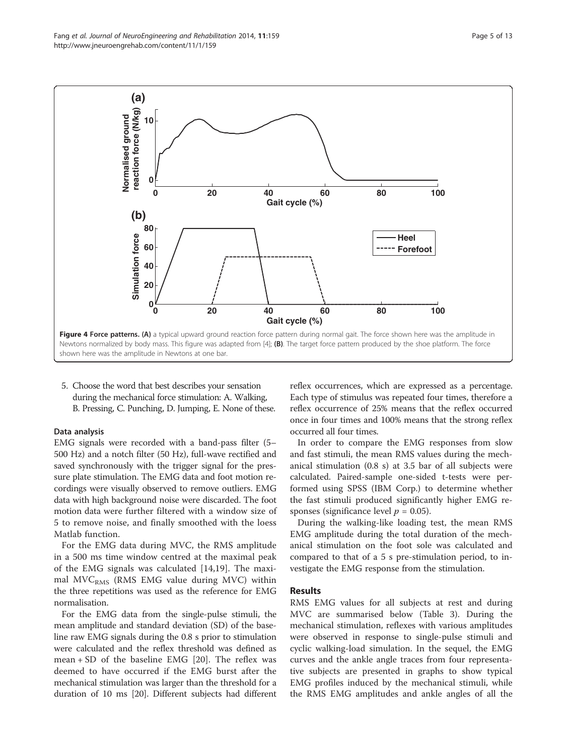<span id="page-5-0"></span>Fang et al. Journal of NeuroEngineering and Rehabilitation 2014, 11:159 Page 5 of 13 http://www.jneuroengrehab.com/content/11/1/159



5. Choose the word that best describes your sensation during the mechanical force stimulation: A. Walking, B. Pressing, C. Punching, D. Jumping, E. None of these.

#### Data analysis

EMG signals were recorded with a band-pass filter (5– 500 Hz) and a notch filter (50 Hz), full-wave rectified and saved synchronously with the trigger signal for the pressure plate stimulation. The EMG data and foot motion recordings were visually observed to remove outliers. EMG data with high background noise were discarded. The foot motion data were further filtered with a window size of 5 to remove noise, and finally smoothed with the loess Matlab function.

For the EMG data during MVC, the RMS amplitude in a 500 ms time window centred at the maximal peak of the EMG signals was calculated [[14,19](#page-13-0)]. The maximal  $MVC<sub>RMS</sub>$  (RMS EMG value during MVC) within the three repetitions was used as the reference for EMG normalisation.

For the EMG data from the single-pulse stimuli, the mean amplitude and standard deviation (SD) of the baseline raw EMG signals during the 0.8 s prior to stimulation were calculated and the reflex threshold was defined as mean  $+$  SD of the baseline EMG [[20\]](#page-13-0). The reflex was deemed to have occurred if the EMG burst after the mechanical stimulation was larger than the threshold for a duration of 10 ms [\[20\]](#page-13-0). Different subjects had different reflex occurrences, which are expressed as a percentage. Each type of stimulus was repeated four times, therefore a reflex occurrence of 25% means that the reflex occurred once in four times and 100% means that the strong reflex occurred all four times.

In order to compare the EMG responses from slow and fast stimuli, the mean RMS values during the mechanical stimulation (0.8 s) at 3.5 bar of all subjects were calculated. Paired-sample one-sided t-tests were performed using SPSS (IBM Corp.) to determine whether the fast stimuli produced significantly higher EMG responses (significance level  $p = 0.05$ ).

During the walking-like loading test, the mean RMS EMG amplitude during the total duration of the mechanical stimulation on the foot sole was calculated and compared to that of a 5 s pre-stimulation period, to investigate the EMG response from the stimulation.

# Results

RMS EMG values for all subjects at rest and during MVC are summarised below (Table [3\)](#page-6-0). During the mechanical stimulation, reflexes with various amplitudes were observed in response to single-pulse stimuli and cyclic walking-load simulation. In the sequel, the EMG curves and the ankle angle traces from four representative subjects are presented in graphs to show typical EMG profiles induced by the mechanical stimuli, while the RMS EMG amplitudes and ankle angles of all the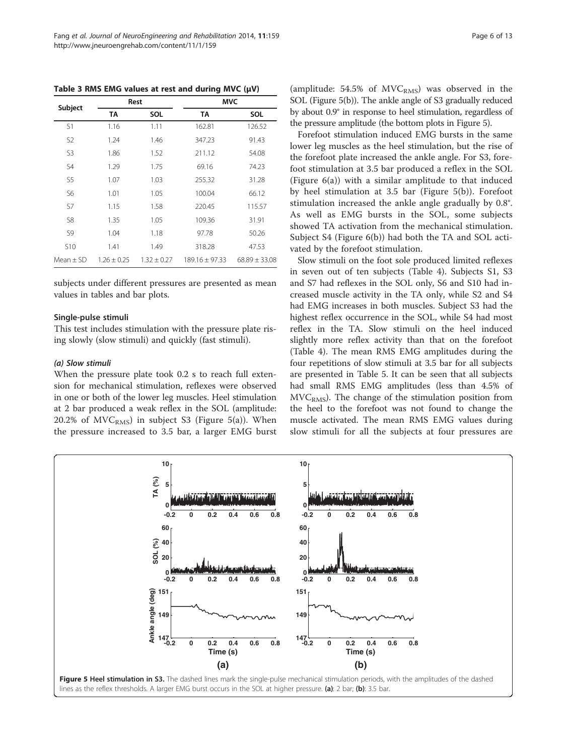<span id="page-6-0"></span>Table 3 RMS EMG values at rest and during MVC  $(\mu V)$ 

| Subject        |                 | Rest            | MVC                |                   |  |
|----------------|-----------------|-----------------|--------------------|-------------------|--|
|                | <b>TA</b>       | SOL             | ТA                 | SOL               |  |
| S1             | 1.16            | 1.11            | 162.81             | 126.52            |  |
| S <sub>2</sub> | 1.24            | 1.46            | 347.23             | 91.43             |  |
| S3             | 1.86            | 1.52            | 211.12             | 54.08             |  |
| S4             | 1.29            | 1.75            | 69.16              | 74.23             |  |
| S <sub>5</sub> | 1.07            | 1.03            | 255.32             | 31.28             |  |
| S6             | 1.01            | 1.05            | 100.04             | 66.12             |  |
| S7             | 1.15            | 1.58            | 220.45             | 115.57            |  |
| S8             | 1.35            | 1.05            | 109.36             | 31.91             |  |
| S9             | 1.04            | 1.18            | 97.78              | 50.26             |  |
| <b>S10</b>     | 1.41            | 1.49            | 318.28             | 47.53             |  |
| $Mean + SD$    | $1.26 \pm 0.25$ | $1.32 \pm 0.27$ | $189.16 \pm 97.33$ | $68.89 \pm 33.08$ |  |

subjects under different pressures are presented as mean values in tables and bar plots.

#### Single-pulse stimuli

This test includes stimulation with the pressure plate rising slowly (slow stimuli) and quickly (fast stimuli).

# (a) Slow stimuli

When the pressure plate took 0.2 s to reach full extension for mechanical stimulation, reflexes were observed in one or both of the lower leg muscles. Heel stimulation at 2 bar produced a weak reflex in the SOL (amplitude: 20.2% of  $MVC<sub>RMS</sub>$ ) in subject S3 (Figure 5(a)). When the pressure increased to 3.5 bar, a larger EMG burst

Forefoot stimulation induced EMG bursts in the same lower leg muscles as the heel stimulation, but the rise of the forefoot plate increased the ankle angle. For S3, forefoot stimulation at 3.5 bar produced a reflex in the SOL (Figure [6\(](#page-7-0)a)) with a similar amplitude to that induced by heel stimulation at 3.5 bar (Figure 5(b)). Forefoot stimulation increased the ankle angle gradually by 0.8°. As well as EMG bursts in the SOL, some subjects showed TA activation from the mechanical stimulation. Subject S4 (Figure [6](#page-7-0)(b)) had both the TA and SOL activated by the forefoot stimulation.

Slow stimuli on the foot sole produced limited reflexes in seven out of ten subjects (Table [4\)](#page-7-0). Subjects S1, S3 and S7 had reflexes in the SOL only, S6 and S10 had increased muscle activity in the TA only, while S2 and S4 had EMG increases in both muscles. Subject S3 had the highest reflex occurrence in the SOL, while S4 had most reflex in the TA. Slow stimuli on the heel induced slightly more reflex activity than that on the forefoot (Table [4](#page-7-0)). The mean RMS EMG amplitudes during the four repetitions of slow stimuli at 3.5 bar for all subjects are presented in Table [5.](#page-8-0) It can be seen that all subjects had small RMS EMG amplitudes (less than 4.5% of  $MVC<sub>RMS</sub>$ ). The change of the stimulation position from the heel to the forefoot was not found to change the muscle activated. The mean RMS EMG values during slow stimuli for all the subjects at four pressures are

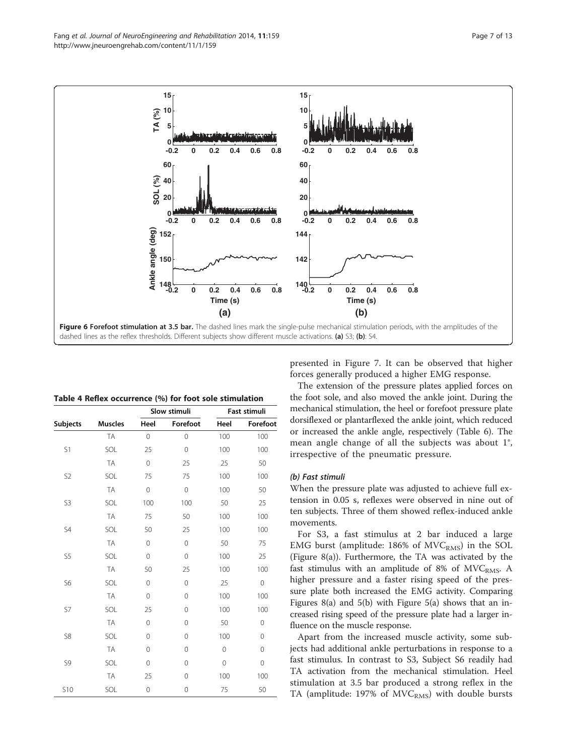<span id="page-7-0"></span>



| Table 4 Reflex occurrence (%) for foot sole stimulation |
|---------------------------------------------------------|
|---------------------------------------------------------|

|                 |                | Slow stimuli   |             |                | Fast stimuli |
|-----------------|----------------|----------------|-------------|----------------|--------------|
| <b>Subjects</b> | <b>Muscles</b> | Heel           | Forefoot    | Heel           | Forefoot     |
|                 | <b>TA</b>      | $\overline{0}$ | $\mathbf 0$ | 100            | 100          |
| S1              | SOL            | 25             | $\mathbf 0$ | 100            | 100          |
|                 | <b>TA</b>      | 0              | 25          | 25             | 50           |
| S <sub>2</sub>  | SOL            | 75             | 75          | 100            | 100          |
|                 | <b>TA</b>      | $\Omega$       | $\mathbf 0$ | 100            | 50           |
| S3              | SOL            | 100            | 100         | 50             | 25           |
|                 | <b>TA</b>      | 75             | 50          | 100            | 100          |
| S4              | SOL            | 50             | 25          | 100            | 100          |
|                 | <b>TA</b>      | $\Omega$       | $\Omega$    | 50             | 75           |
| S5              | SOL            | 0              | $\mathbf 0$ | 100            | 25           |
|                 | <b>TA</b>      | 50             | 25          | 100            | 100          |
| S6              | SOL            | $\Omega$       | $\Omega$    | 25             | $\Omega$     |
|                 | <b>TA</b>      | 0              | 0           | 100            | 100          |
| S7              | SOL            | 25             | $\mathbf 0$ | 100            | 100          |
|                 | <b>TA</b>      | $\Omega$       | 0           | 50             | $\mathbf 0$  |
| S8              | SOL            | $\Omega$       | $\Omega$    | 100            | $\Omega$     |
|                 | <b>TA</b>      | $\Omega$       | $\mathbf 0$ | $\overline{0}$ | $\Omega$     |
| S9              | SOL            | $\Omega$       | 0           | $\mathbf 0$    | 0            |
|                 | <b>TA</b>      | 25             | 0           | 100            | 100          |
| <b>S10</b>      | SOL            | 0              | $\mathbf 0$ | 75             | 50           |

presented in Figure [7](#page-8-0). It can be observed that higher forces generally produced a higher EMG response.

The extension of the pressure plates applied forces on the foot sole, and also moved the ankle joint. During the mechanical stimulation, the heel or forefoot pressure plate dorsiflexed or plantarflexed the ankle joint, which reduced or increased the ankle angle, respectively (Table [6](#page-8-0)). The mean angle change of all the subjects was about 1°, irrespective of the pneumatic pressure.

# (b) Fast stimuli

When the pressure plate was adjusted to achieve full extension in 0.05 s, reflexes were observed in nine out of ten subjects. Three of them showed reflex-induced ankle movements.

For S3, a fast stimulus at 2 bar induced a large EMG burst (amplitude:  $186\%$  of MVC<sub>RMS</sub>) in the SOL (Figure [8](#page-9-0)(a)). Furthermore, the TA was activated by the fast stimulus with an amplitude of 8% of  $MVC<sub>RMS</sub>$ . A higher pressure and a faster rising speed of the pressure plate both increased the EMG activity. Comparing Figures [8](#page-9-0)(a) and [5](#page-6-0)(b) with Figure [5](#page-6-0)(a) shows that an increased rising speed of the pressure plate had a larger influence on the muscle response.

Apart from the increased muscle activity, some subjects had additional ankle perturbations in response to a fast stimulus. In contrast to S3, Subject S6 readily had TA activation from the mechanical stimulation. Heel stimulation at 3.5 bar produced a strong reflex in the TA (amplitude: 197% of  $MVC<sub>RMS</sub>$ ) with double bursts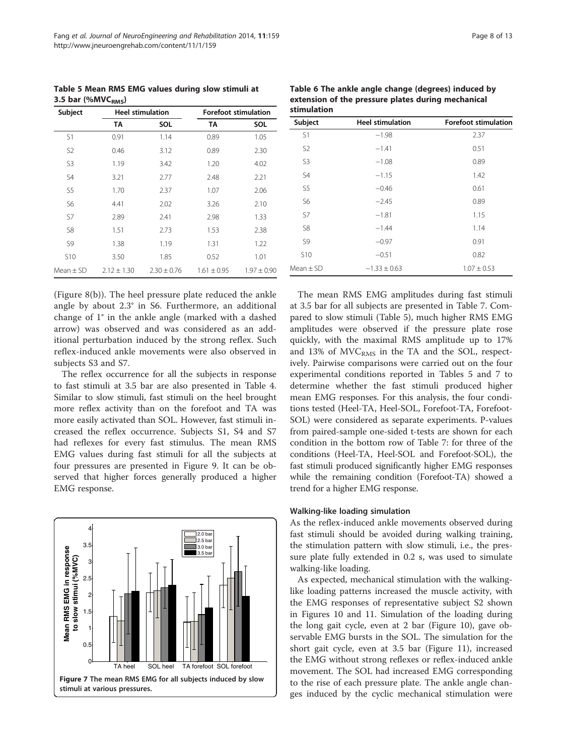<span id="page-8-0"></span>Table 5 Mean RMS EMG values during slow stimuli at 3.5 bar (% $MVC<sub>RMS</sub>$ )

| Subject         | <b>Heel stimulation</b> |                 | <b>Forefoot stimulation</b> |                 |
|-----------------|-------------------------|-----------------|-----------------------------|-----------------|
|                 | TA                      | SOL             | TA                          | SOL             |
| S1              | 0.91                    | 1.14            | 0.89                        | 1.05            |
| S <sub>2</sub>  | 0.46                    | 3.12            | 0.89                        | 2.30            |
| S <sub>3</sub>  | 1.19                    | 3.42            | 1.20                        | 4.02            |
| S4              | 3.21                    | 2.77            | 2.48                        | 2.21            |
| S <sub>5</sub>  | 1.70                    | 2.37            | 1.07                        | 2.06            |
| S6              | 4.41                    | 2.02            | 3.26                        | 2.10            |
| S7              | 2.89                    | 2.41            | 2.98                        | 1.33            |
| S8              | 1.51                    | 2.73            | 1.53                        | 2.38            |
| S9              | 1.38                    | 1.19            | 1.31                        | 1.22            |
| S <sub>10</sub> | 3.50                    | 1.85            | 0.52                        | 1.01            |
| $Mean + SD$     | $2.12 \pm 1.30$         | $2.30 \pm 0.76$ | $1.61 \pm 0.95$             | $1.97 \pm 0.90$ |

(Figure [8](#page-9-0)(b)). The heel pressure plate reduced the ankle angle by about 2.3° in S6. Furthermore, an additional change of 1° in the ankle angle (marked with a dashed arrow) was observed and was considered as an additional perturbation induced by the strong reflex. Such reflex-induced ankle movements were also observed in subjects S3 and S7.

The reflex occurrence for all the subjects in response to fast stimuli at 3.5 bar are also presented in Table [4](#page-7-0). Similar to slow stimuli, fast stimuli on the heel brought more reflex activity than on the forefoot and TA was more easily activated than SOL. However, fast stimuli increased the reflex occurrence. Subjects S1, S4 and S7 had reflexes for every fast stimulus. The mean RMS EMG values during fast stimuli for all the subjects at four pressures are presented in Figure [9.](#page-9-0) It can be observed that higher forces generally produced a higher EMG response.



|         | <b>Forefoot stimulation</b> |
|---------|-----------------------------|
| $-1.98$ | 2.37                        |
| $-1.41$ | 0.51                        |
| $-1.08$ | 0.89                        |
| $-1.15$ | 1.42                        |
| $-0.46$ | 0.61                        |
| $-2.45$ | 0.89                        |
| $-1.81$ | 1.15                        |
| $-1.44$ | 1.14                        |
| $-0.97$ | 0.91                        |
| $-0.51$ | 0.82                        |
|         |                             |

Mean + SD  $-1.33 + 0.63$  1.07 + 0.53

Table 6 The ankle angle change (degrees) induced by

The mean RMS EMG amplitudes during fast stimuli at 3.5 bar for all subjects are presented in Table [7.](#page-9-0) Compared to slow stimuli (Table 5), much higher RMS EMG amplitudes were observed if the pressure plate rose quickly, with the maximal RMS amplitude up to 17% and 13% of  $MVC<sub>RMS</sub>$  in the TA and the SOL, respectively. Pairwise comparisons were carried out on the four experimental conditions reported in Tables 5 and [7](#page-9-0) to determine whether the fast stimuli produced higher mean EMG responses. For this analysis, the four conditions tested (Heel-TA, Heel-SOL, Forefoot-TA, Forefoot-SOL) were considered as separate experiments. P-values from paired-sample one-sided t-tests are shown for each condition in the bottom row of Table [7](#page-9-0): for three of the conditions (Heel-TA, Heel-SOL and Forefoot-SOL), the fast stimuli produced significantly higher EMG responses while the remaining condition (Forefoot-TA) showed a trend for a higher EMG response.

#### Walking-like loading simulation

As the reflex-induced ankle movements observed during fast stimuli should be avoided during walking training, the stimulation pattern with slow stimuli, i.e., the pressure plate fully extended in 0.2 s, was used to simulate walking-like loading.

As expected, mechanical stimulation with the walkinglike loading patterns increased the muscle activity, with the EMG responses of representative subject S2 shown in Figures [10](#page-10-0) and [11.](#page-10-0) Simulation of the loading during the long gait cycle, even at 2 bar (Figure [10](#page-10-0)), gave observable EMG bursts in the SOL. The simulation for the short gait cycle, even at 3.5 bar (Figure [11](#page-10-0)), increased the EMG without strong reflexes or reflex-induced ankle movement. The SOL had increased EMG corresponding to the rise of each pressure plate. The ankle angle changes induced by the cyclic mechanical stimulation were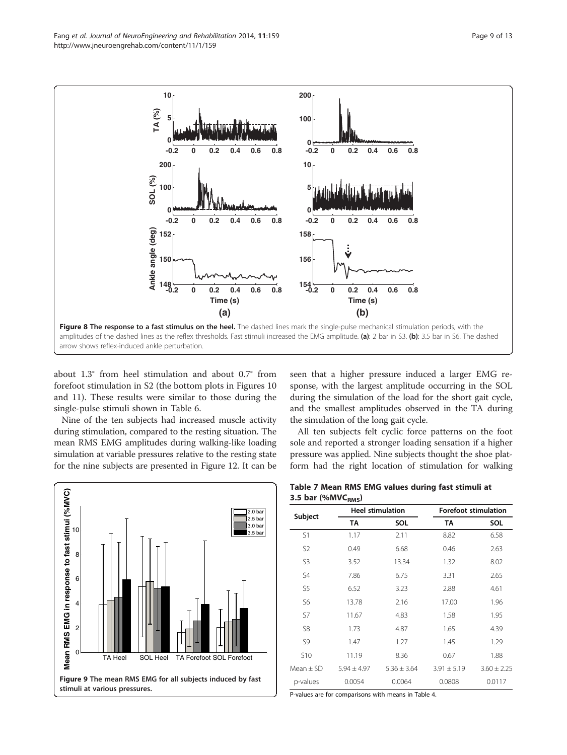<span id="page-9-0"></span>

about 1.3° from heel stimulation and about 0.7° from forefoot stimulation in S2 (the bottom plots in Figures [10](#page-10-0) and [11](#page-10-0)). These results were similar to those during the single-pulse stimuli shown in Table [6](#page-8-0).

Nine of the ten subjects had increased muscle activity during stimulation, compared to the resting situation. The mean RMS EMG amplitudes during walking-like loading simulation at variable pressures relative to the resting state for the nine subjects are presented in Figure [12](#page-11-0). It can be seen that a higher pressure induced a larger EMG response, with the largest amplitude occurring in the SOL during the simulation of the load for the short gait cycle, and the smallest amplitudes observed in the TA during the simulation of the long gait cycle.

All ten subjects felt cyclic force patterns on the foot sole and reported a stronger loading sensation if a higher pressure was applied. Nine subjects thought the shoe platform had the right location of stimulation for walking



Table 7 Mean RMS EMG values during fast stimuli at 3.5 bar (% $MVC<sub>RMS</sub>$ )

| Subject         |                 | <b>Heel stimulation</b> | <b>Forefoot stimulation</b> |                 |
|-----------------|-----------------|-------------------------|-----------------------------|-----------------|
|                 | ТA              | SOL                     | TA                          | SOL             |
| S1              | 1.17            | 2.11                    | 8.82                        | 6.58            |
| S <sub>2</sub>  | 0.49            | 6.68                    | 0.46                        | 2.63            |
| S3              | 3.52            | 13.34                   | 1.32                        | 8.02            |
| S4              | 7.86            | 6.75                    | 3.31                        | 2.65            |
| S5              | 6.52            | 3.23                    | 2.88                        | 4.61            |
| S6              | 13.78           | 2.16                    | 17.00                       | 1.96            |
| S7              | 11.67           | 4.83                    | 1.58                        | 1.95            |
| S8              | 1.73            | 4.87                    | 1.65                        | 4.39            |
| S9              | 1.47            | 1.27                    | 1.45                        | 1.29            |
| S <sub>10</sub> | 11.19           | 8.36                    | 0.67                        | 1.88            |
| $Mean + SD$     | $5.94 \pm 4.97$ | $5.36 \pm 3.64$         | $3.91 \pm 5.19$             | $3.60 \pm 2.25$ |
| p-values        | 0.0054          | 0.0064                  | 0.0808                      | 0.0117          |

P-values are for comparisons with means in Table [4](#page-7-0).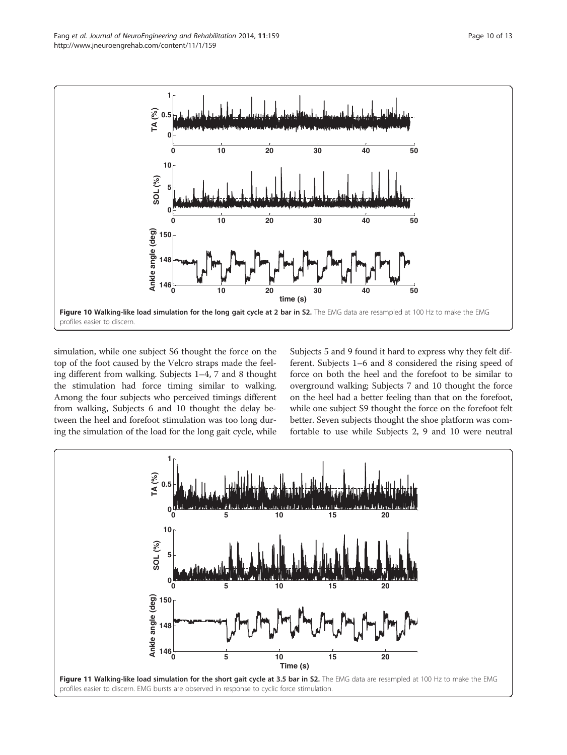<span id="page-10-0"></span>

simulation, while one subject S6 thought the force on the top of the foot caused by the Velcro straps made the feeling different from walking. Subjects 1–4, 7 and 8 thought the stimulation had force timing similar to walking. Among the four subjects who perceived timings different from walking, Subjects 6 and 10 thought the delay between the heel and forefoot stimulation was too long during the simulation of the load for the long gait cycle, while Subjects 5 and 9 found it hard to express why they felt different. Subjects 1–6 and 8 considered the rising speed of force on both the heel and the forefoot to be similar to overground walking; Subjects 7 and 10 thought the force on the heel had a better feeling than that on the forefoot, while one subject S9 thought the force on the forefoot felt better. Seven subjects thought the shoe platform was comfortable to use while Subjects 2, 9 and 10 were neutral

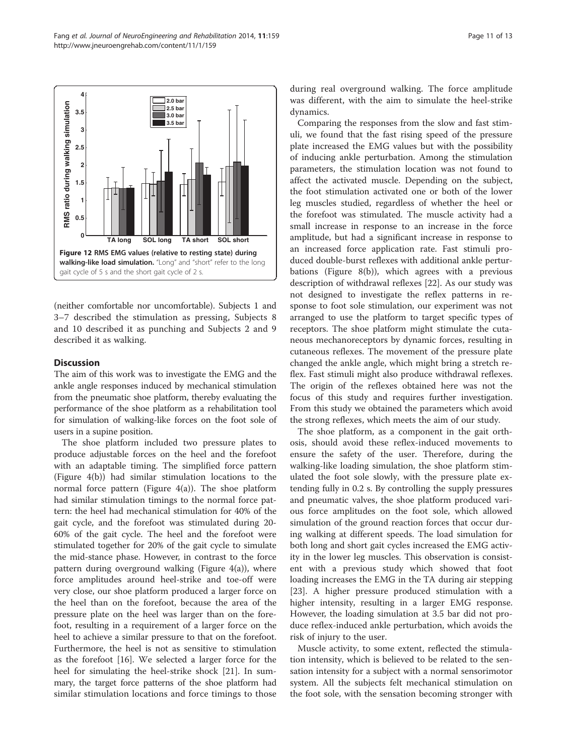<span id="page-11-0"></span>

(neither comfortable nor uncomfortable). Subjects 1 and 3–7 described the stimulation as pressing, Subjects 8 and 10 described it as punching and Subjects 2 and 9 described it as walking.

# **Discussion**

The aim of this work was to investigate the EMG and the ankle angle responses induced by mechanical stimulation from the pneumatic shoe platform, thereby evaluating the performance of the shoe platform as a rehabilitation tool for simulation of walking-like forces on the foot sole of users in a supine position.

The shoe platform included two pressure plates to produce adjustable forces on the heel and the forefoot with an adaptable timing. The simplified force pattern (Figure [4](#page-5-0)(b)) had similar stimulation locations to the normal force pattern (Figure [4\(](#page-5-0)a)). The shoe platform had similar stimulation timings to the normal force pattern: the heel had mechanical stimulation for 40% of the gait cycle, and the forefoot was stimulated during 20- 60% of the gait cycle. The heel and the forefoot were stimulated together for 20% of the gait cycle to simulate the mid-stance phase. However, in contrast to the force pattern during overground walking (Figure [4\(](#page-5-0)a)), where force amplitudes around heel-strike and toe-off were very close, our shoe platform produced a larger force on the heel than on the forefoot, because the area of the pressure plate on the heel was larger than on the forefoot, resulting in a requirement of a larger force on the heel to achieve a similar pressure to that on the forefoot. Furthermore, the heel is not as sensitive to stimulation as the forefoot [\[16\]](#page-13-0). We selected a larger force for the heel for simulating the heel-strike shock [[21\]](#page-13-0). In summary, the target force patterns of the shoe platform had similar stimulation locations and force timings to those during real overground walking. The force amplitude was different, with the aim to simulate the heel-strike dynamics.

Comparing the responses from the slow and fast stimuli, we found that the fast rising speed of the pressure plate increased the EMG values but with the possibility of inducing ankle perturbation. Among the stimulation parameters, the stimulation location was not found to affect the activated muscle. Depending on the subject, the foot stimulation activated one or both of the lower leg muscles studied, regardless of whether the heel or the forefoot was stimulated. The muscle activity had a small increase in response to an increase in the force amplitude, but had a significant increase in response to an increased force application rate. Fast stimuli produced double-burst reflexes with additional ankle perturbations (Figure [8](#page-9-0)(b)), which agrees with a previous description of withdrawal reflexes [\[22](#page-13-0)]. As our study was not designed to investigate the reflex patterns in response to foot sole stimulation, our experiment was not arranged to use the platform to target specific types of receptors. The shoe platform might stimulate the cutaneous mechanoreceptors by dynamic forces, resulting in cutaneous reflexes. The movement of the pressure plate changed the ankle angle, which might bring a stretch reflex. Fast stimuli might also produce withdrawal reflexes. The origin of the reflexes obtained here was not the focus of this study and requires further investigation. From this study we obtained the parameters which avoid the strong reflexes, which meets the aim of our study.

The shoe platform, as a component in the gait orthosis, should avoid these reflex-induced movements to ensure the safety of the user. Therefore, during the walking-like loading simulation, the shoe platform stimulated the foot sole slowly, with the pressure plate extending fully in 0.2 s. By controlling the supply pressures and pneumatic valves, the shoe platform produced various force amplitudes on the foot sole, which allowed simulation of the ground reaction forces that occur during walking at different speeds. The load simulation for both long and short gait cycles increased the EMG activity in the lower leg muscles. This observation is consistent with a previous study which showed that foot loading increases the EMG in the TA during air stepping [[23\]](#page-13-0). A higher pressure produced stimulation with a higher intensity, resulting in a larger EMG response. However, the loading simulation at 3.5 bar did not produce reflex-induced ankle perturbation, which avoids the risk of injury to the user.

Muscle activity, to some extent, reflected the stimulation intensity, which is believed to be related to the sensation intensity for a subject with a normal sensorimotor system. All the subjects felt mechanical stimulation on the foot sole, with the sensation becoming stronger with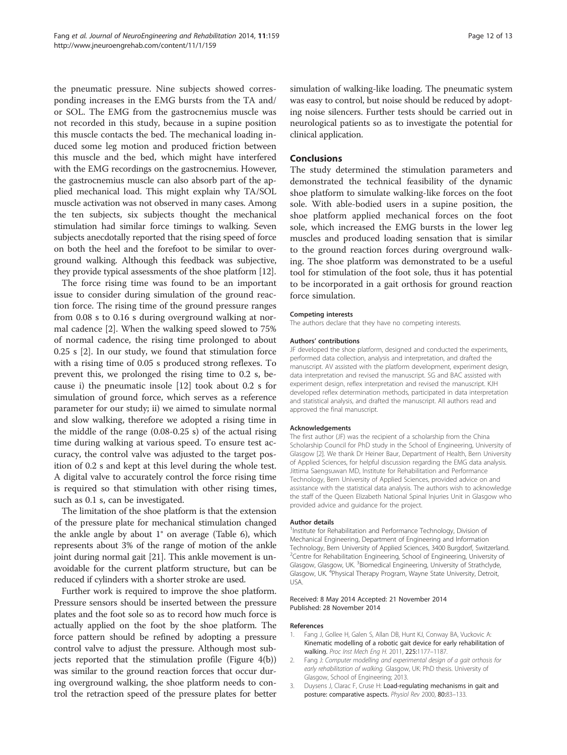<span id="page-12-0"></span>the pneumatic pressure. Nine subjects showed corresponding increases in the EMG bursts from the TA and/ or SOL. The EMG from the gastrocnemius muscle was not recorded in this study, because in a supine position this muscle contacts the bed. The mechanical loading induced some leg motion and produced friction between this muscle and the bed, which might have interfered with the EMG recordings on the gastrocnemius. However, the gastrocnemius muscle can also absorb part of the applied mechanical load. This might explain why TA/SOL muscle activation was not observed in many cases. Among the ten subjects, six subjects thought the mechanical stimulation had similar force timings to walking. Seven subjects anecdotally reported that the rising speed of force on both the heel and the forefoot to be similar to overground walking. Although this feedback was subjective, they provide typical assessments of the shoe platform [\[12\]](#page-13-0).

The force rising time was found to be an important issue to consider during simulation of the ground reaction force. The rising time of the ground pressure ranges from 0.08 s to 0.16 s during overground walking at normal cadence [2]. When the walking speed slowed to 75% of normal cadence, the rising time prolonged to about 0.25 s [2]. In our study, we found that stimulation force with a rising time of 0.05 s produced strong reflexes. To prevent this, we prolonged the rising time to 0.2 s, because i) the pneumatic insole [\[12](#page-13-0)] took about 0.2 s for simulation of ground force, which serves as a reference parameter for our study; ii) we aimed to simulate normal and slow walking, therefore we adopted a rising time in the middle of the range (0.08-0.25 s) of the actual rising time during walking at various speed. To ensure test accuracy, the control valve was adjusted to the target position of 0.2 s and kept at this level during the whole test. A digital valve to accurately control the force rising time is required so that stimulation with other rising times, such as 0.1 s, can be investigated.

The limitation of the shoe platform is that the extension of the pressure plate for mechanical stimulation changed the ankle angle by about 1° on average (Table [6](#page-8-0)), which represents about 3% of the range of motion of the ankle joint during normal gait [\[21\]](#page-13-0). This ankle movement is unavoidable for the current platform structure, but can be reduced if cylinders with a shorter stroke are used.

Further work is required to improve the shoe platform. Pressure sensors should be inserted between the pressure plates and the foot sole so as to record how much force is actually applied on the foot by the shoe platform. The force pattern should be refined by adopting a pressure control valve to adjust the pressure. Although most subjects reported that the stimulation profile (Figure [4](#page-5-0)(b)) was similar to the ground reaction forces that occur during overground walking, the shoe platform needs to control the retraction speed of the pressure plates for better

simulation of walking-like loading. The pneumatic system was easy to control, but noise should be reduced by adopting noise silencers. Further tests should be carried out in neurological patients so as to investigate the potential for clinical application.

# Conclusions

The study determined the stimulation parameters and demonstrated the technical feasibility of the dynamic shoe platform to simulate walking-like forces on the foot sole. With able-bodied users in a supine position, the shoe platform applied mechanical forces on the foot sole, which increased the EMG bursts in the lower leg muscles and produced loading sensation that is similar to the ground reaction forces during overground walking. The shoe platform was demonstrated to be a useful tool for stimulation of the foot sole, thus it has potential to be incorporated in a gait orthosis for ground reaction force simulation.

#### Competing interests

The authors declare that they have no competing interests.

#### Authors' contributions

JF developed the shoe platform, designed and conducted the experiments, performed data collection, analysis and interpretation, and drafted the manuscript. AV assisted with the platform development, experiment design, data interpretation and revised the manuscript. SG and BAC assisted with experiment design, reflex interpretation and revised the manuscript. KJH developed reflex determination methods, participated in data interpretation and statistical analysis, and drafted the manuscript. All authors read and approved the final manuscript.

#### Acknowledgements

The first author (JF) was the recipient of a scholarship from the China Scholarship Council for PhD study in the School of Engineering, University of Glasgow [2]. We thank Dr Heiner Baur, Department of Health, Bern University of Applied Sciences, for helpful discussion regarding the EMG data analysis. Jittima Saengsuwan MD, Institute for Rehabilitation and Performance Technology, Bern University of Applied Sciences, provided advice on and assistance with the statistical data analysis. The authors wish to acknowledge the staff of the Queen Elizabeth National Spinal Injuries Unit in Glasgow who provided advice and guidance for the project.

#### Author details

<sup>1</sup>Institute for Rehabilitation and Performance Technology, Division of Mechanical Engineering, Department of Engineering and Information Technology, Bern University of Applied Sciences, 3400 Burgdorf, Switzerland. <sup>2</sup>Centre for Rehabilitation Engineering, School of Engineering, University of Glasgow, Glasgow, UK. <sup>3</sup>Biomedical Engineering, University of Strathclyde, Glasgow, UK.<sup>4</sup> Physical Therapy Program, Wayne State University, Detroit, USA.

#### Received: 8 May 2014 Accepted: 21 November 2014 Published: 28 November 2014

#### References

- 1. Fang J, Gollee H, Galen S, Allan DB, Hunt KJ, Conway BA, Vuckovic A: Kinematic modelling of a robotic gait device for early rehabilitation of walking. Proc Inst Mech Eng H. 2011, 225:1177–1187.
- 2. Fang J: Computer modelling and experimental design of a gait orthosis for early rehabilitation of walking. Glasgow, UK: PhD thesis. University of Glasgow, School of Engineering; 2013.
- 3. Duysens J, Clarac F, Cruse H: Load-regulating mechanisms in gait and posture: comparative aspects. Physiol Rev 2000, 80:83–133.